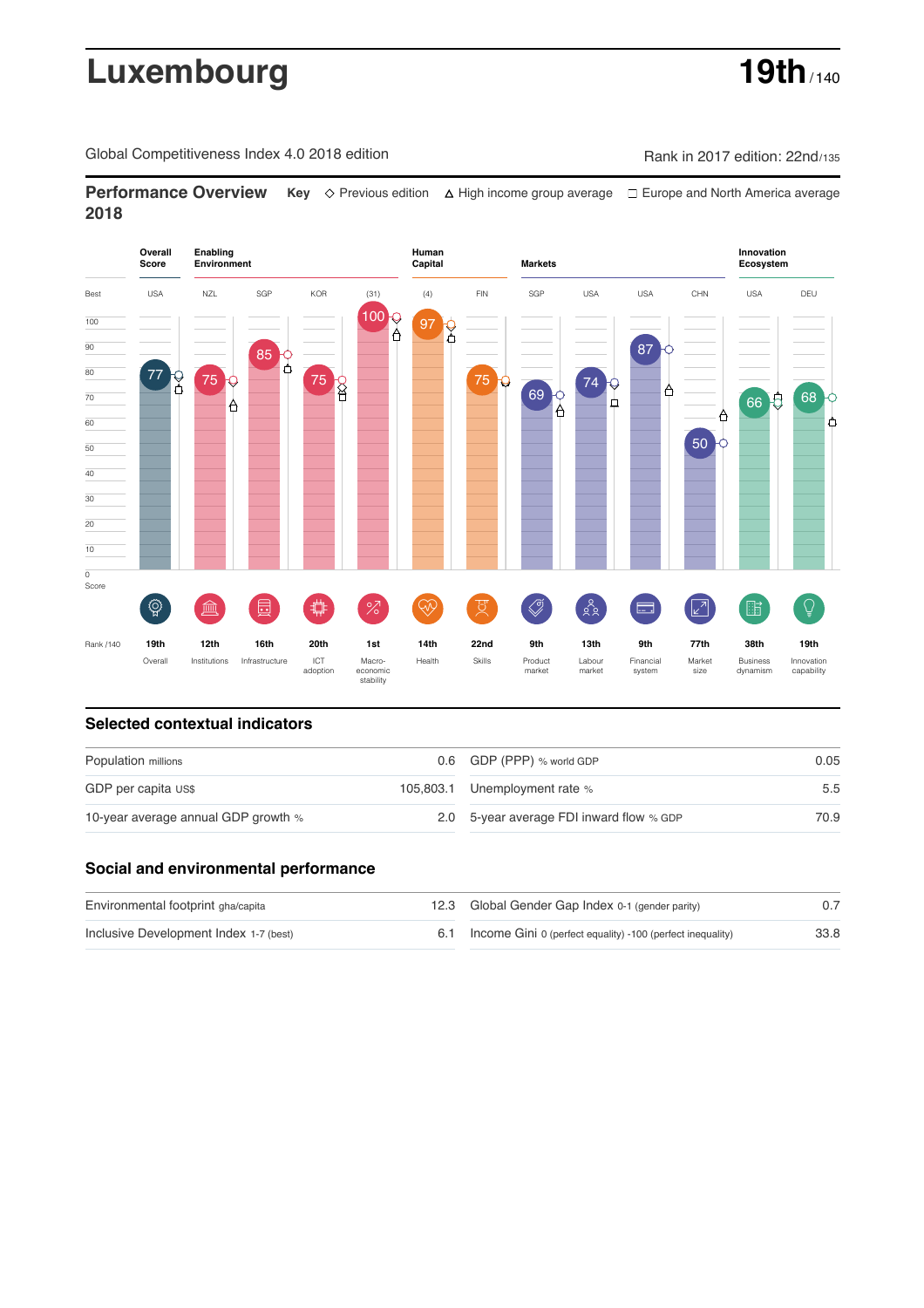# Luxembourg **19th** / 140

Global Competitiveness Index 4.0 2018 edition Rank in 2017 edition: 22nd/135

**Performance Overview** Key  $\Diamond$  Previous edition ∆ High income group average  $\Box$  Europe and North America average **2018**



### **Selected contextual indicators**

| Population millions                 |  | 0.6 GDP (PPP) % world GDP                | 0.05 |  |
|-------------------------------------|--|------------------------------------------|------|--|
| GDP per capita US\$                 |  | 105,803.1 Unemployment rate %            | 5.5  |  |
| 10-year average annual GDP growth % |  | 2.0 5-year average FDI inward flow % GDP | 70.9 |  |

### **Social and environmental performance**

| Environmental footprint gha/capita     | 12.3 Global Gender Gap Index 0-1 (gender parity)               |      |
|----------------------------------------|----------------------------------------------------------------|------|
| Inclusive Development Index 1-7 (best) | 6.1 Income Gini 0 (perfect equality) -100 (perfect inequality) | 33.8 |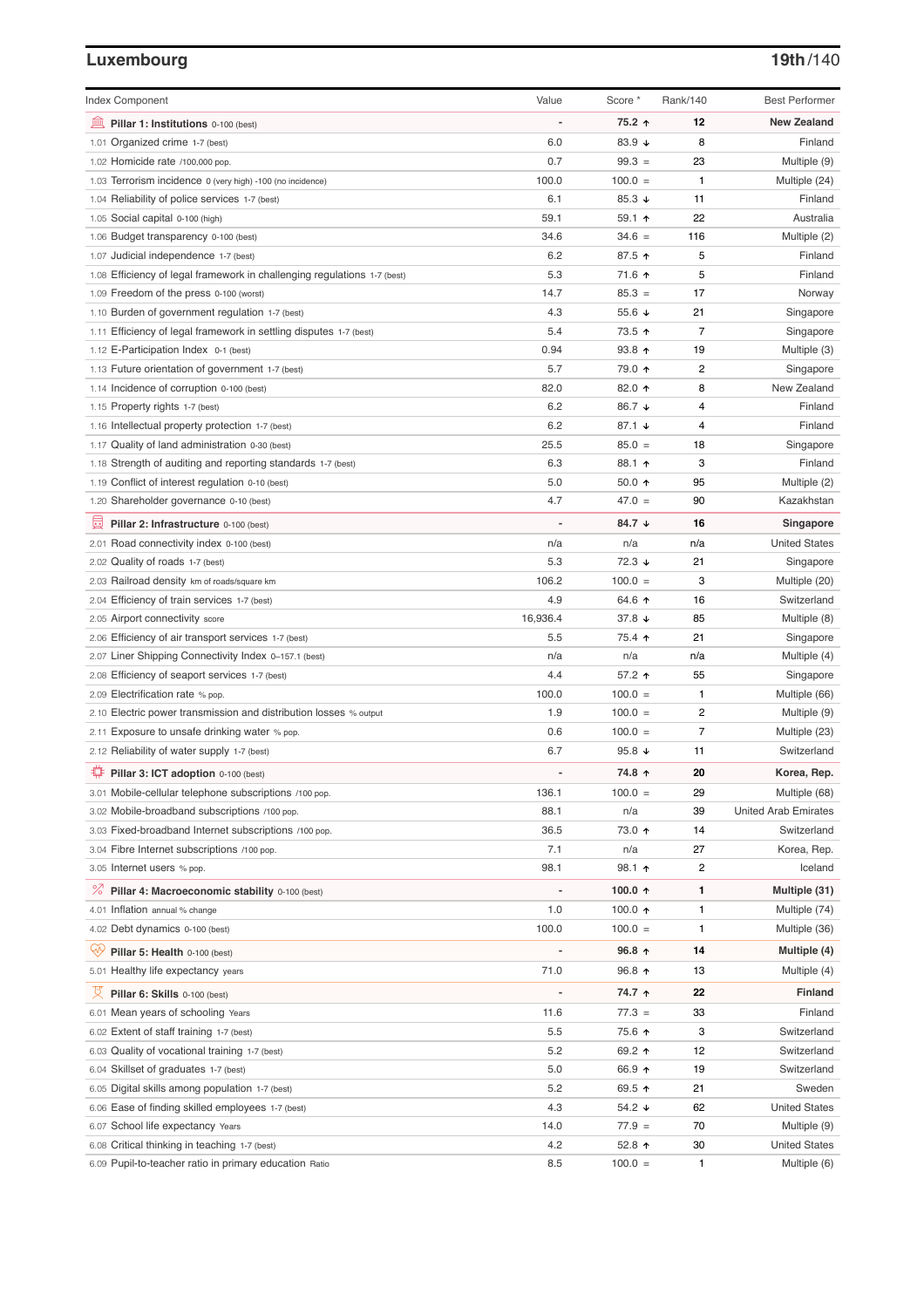# **Luxembourg 19th**/140

| <b>Index Component</b>                                                   | Value          | Score *                  | Rank/140       | <b>Best Performer</b>       |
|--------------------------------------------------------------------------|----------------|--------------------------|----------------|-----------------------------|
| 寙<br>Pillar 1: Institutions 0-100 (best)                                 |                | 75.2 ↑                   | 12             | <b>New Zealand</b>          |
| 1.01 Organized crime 1-7 (best)                                          | 6.0            | 83.9 ↓                   | 8              | Finland                     |
| 1.02 Homicide rate /100,000 pop.                                         | 0.7            | $99.3 =$                 | 23             | Multiple (9)                |
| 1.03 Terrorism incidence 0 (very high) -100 (no incidence)               | 100.0          | $100.0 =$                | 1              | Multiple (24)               |
| 1.04 Reliability of police services 1-7 (best)                           | 6.1            | 85.3 $\sqrt{ }$          | 11             | Finland                     |
| 1.05 Social capital 0-100 (high)                                         | 59.1           | $59.1$ 1                 | 22             | Australia                   |
| 1.06 Budget transparency 0-100 (best)                                    | 34.6           | $34.6 =$                 | 116            | Multiple (2)                |
| 1.07 Judicial independence 1-7 (best)                                    | 6.2            | 87.5 ↑                   | 5              | Finland                     |
| 1.08 Efficiency of legal framework in challenging regulations 1-7 (best) | 5.3            | 71.6 ↑                   | 5              | Finland                     |
| 1.09 Freedom of the press 0-100 (worst)                                  | 14.7           | $85.3 =$                 | 17             | Norway                      |
| 1.10 Burden of government regulation 1-7 (best)                          | 4.3            | 55.6 $\sqrt{ }$          | 21             | Singapore                   |
| 1.11 Efficiency of legal framework in settling disputes 1-7 (best)       | 5.4            | 73.5 ↑                   | $\overline{7}$ | Singapore                   |
| 1.12 E-Participation Index 0-1 (best)                                    | 0.94           | $93.8$ 1                 | 19             | Multiple (3)                |
| 1.13 Future orientation of government 1-7 (best)                         | 5.7            | 79.0 ↑                   | $\overline{c}$ | Singapore                   |
| 1.14 Incidence of corruption 0-100 (best)                                | 82.0           | 82.0 个                   | 8              | New Zealand                 |
| 1.15 Property rights 1-7 (best)                                          | 6.2            | 86.7 ↓                   | 4              | Finland                     |
| 1.16 Intellectual property protection 1-7 (best)                         | 6.2            | 87.1 $\sqrt{ }$          | 4              | Finland                     |
| 1.17 Quality of land administration 0-30 (best)                          | 25.5           | $85.0 =$                 | 18             | Singapore                   |
| 1.18 Strength of auditing and reporting standards 1-7 (best)             | 6.3            | 88.1 个                   | 3              | Finland                     |
| 1.19 Conflict of interest regulation 0-10 (best)                         | 5.0            | $50.0 \text{ } \Upsilon$ | 95             | Multiple (2)                |
| 1.20 Shareholder governance 0-10 (best)                                  | 4.7            | $47.0 =$                 | 90             | Kazakhstan                  |
|                                                                          |                |                          |                |                             |
| 圓<br>Pillar 2: Infrastructure 0-100 (best)                               |                | 84.7 ↓                   | 16             | Singapore                   |
| 2.01 Road connectivity index 0-100 (best)                                | n/a            | n/a                      | n/a            | <b>United States</b>        |
| 2.02 Quality of roads 1-7 (best)                                         | 5.3            | 72.3 ↓                   | 21             | Singapore                   |
| 2.03 Railroad density km of roads/square km                              | 106.2          | $100.0 =$                | 3              | Multiple (20)               |
| 2.04 Efficiency of train services 1-7 (best)                             | 4.9            | 64.6 ↑                   | 16             | Switzerland                 |
| 2.05 Airport connectivity score                                          | 16,936.4       | 37.8 ↓                   | 85             | Multiple (8)                |
| 2.06 Efficiency of air transport services 1-7 (best)                     | 5.5            | 75.4 ተ                   | 21             | Singapore                   |
| 2.07 Liner Shipping Connectivity Index 0-157.1 (best)                    | n/a            | n/a                      | n/a            | Multiple (4)                |
| 2.08 Efficiency of seaport services 1-7 (best)                           | 4.4            | 57.2 ↑                   | 55             | Singapore                   |
| 2.09 Electrification rate % pop.                                         | 100.0          | $100.0 =$                | 1              | Multiple (66)               |
| 2.10 Electric power transmission and distribution losses % output        | 1.9            | $100.0 =$                | $\overline{c}$ | Multiple (9)                |
| 2.11 Exposure to unsafe drinking water % pop.                            | 0.6            | $100.0 =$                | $\overline{7}$ | Multiple (23)               |
| 2.12 Reliability of water supply 1-7 (best)                              | 6.7            | 95.8 $\sqrt{ }$          | 11             | Switzerland                 |
| Pillar 3: ICT adoption 0-100 (best)                                      |                | 74.8 ↑                   | 20             | Korea, Rep.                 |
| 3.01 Mobile-cellular telephone subscriptions /100 pop.                   | 136.1          | $100.0 =$                | 29             | Multiple (68)               |
| 3.02 Mobile-broadband subscriptions /100 pop.                            | 88.1           | n/a                      | 39             | <b>United Arab Emirates</b> |
| 3.03 Fixed-broadband Internet subscriptions /100 pop.                    | 36.5           | 73.0 个                   | 14             | Switzerland                 |
| 3.04 Fibre Internet subscriptions /100 pop.                              | 7.1            | n/a                      | 27             | Korea, Rep.                 |
| 3.05 Internet users % pop.                                               | 98.1           | 98.1 ↑                   | 2              | Iceland                     |
| ℅<br>Pillar 4: Macroeconomic stability 0-100 (best)                      | $\overline{a}$ | 100.0 $\uparrow$         | 1              | Multiple (31)               |
| 4.01 Inflation annual % change                                           | 1.0            | 100.0 $\uparrow$         | 1              | Multiple (74)               |
| 4.02 Debt dynamics 0-100 (best)                                          | 100.0          | $100.0 =$                | 1              | Multiple (36)               |
|                                                                          |                |                          |                |                             |
| ₩<br>Pillar 5: Health 0-100 (best)                                       |                | 96.8 $\uparrow$          | 14             | Multiple (4)                |
| 5.01 Healthy life expectancy years                                       | 71.0           | 96.8 ↑                   | 13             | Multiple (4)                |
| 文<br>Pillar 6: Skills 0-100 (best)                                       | $\overline{a}$ | 74.7 ↑                   | 22             | <b>Finland</b>              |
| 6.01 Mean years of schooling Years                                       | 11.6           | $77.3 =$                 | 33             | Finland                     |
| 6.02 Extent of staff training 1-7 (best)                                 | 5.5            | 75.6 个                   | 3              | Switzerland                 |
| 6.03 Quality of vocational training 1-7 (best)                           | 5.2            | 69.2 ↑                   | 12             | Switzerland                 |
| 6.04 Skillset of graduates 1-7 (best)                                    | 5.0            | 66.9 ↑                   | 19             | Switzerland                 |
| 6.05 Digital skills among population 1-7 (best)                          | 5.2            | 69.5 ↑                   | 21             | Sweden                      |
| 6.06 Ease of finding skilled employees 1-7 (best)                        | 4.3            | 54.2 ↓                   | 62             | <b>United States</b>        |
| 6.07 School life expectancy Years                                        | 14.0           | $77.9 =$                 | 70             | Multiple (9)                |
| 6.08 Critical thinking in teaching 1-7 (best)                            | 4.2            | 52.8 个                   | 30             | <b>United States</b>        |
| 6.09 Pupil-to-teacher ratio in primary education Ratio                   | 8.5            | $100.0 =$                | 1              | Multiple (6)                |